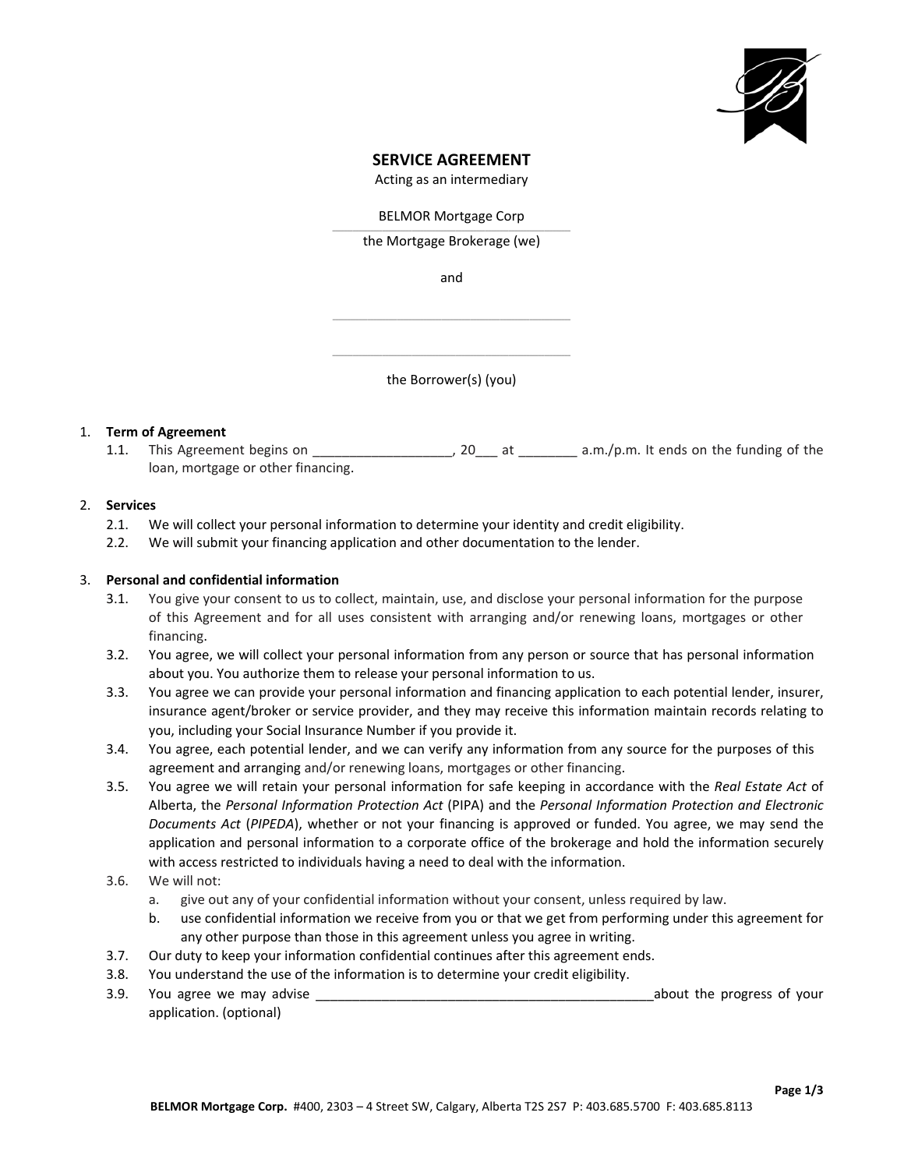

# **SERVICE AGREEMENT**

Acting as an intermediary

BELMOR Mortgage Corp \_\_\_\_\_\_\_\_\_\_\_\_\_\_\_\_\_\_\_\_\_\_\_\_\_\_\_\_\_\_\_\_\_\_\_\_\_\_\_\_\_\_\_\_\_\_\_\_\_\_\_\_\_\_\_\_\_\_\_\_\_\_\_\_\_\_\_\_\_\_\_\_\_\_\_\_\_\_\_\_\_

the Mortgage Brokerage (we)

and

\_\_\_\_\_\_\_\_\_\_\_\_\_\_\_\_\_\_\_\_\_\_\_\_\_\_\_\_\_\_\_\_\_\_\_\_\_\_\_\_\_\_\_\_\_\_\_\_\_\_\_\_\_\_\_\_\_\_\_\_\_\_\_\_\_\_\_\_\_\_\_\_\_\_\_\_\_\_\_\_\_

\_\_\_\_\_\_\_\_\_\_\_\_\_\_\_\_\_\_\_\_\_\_\_\_\_\_\_\_\_\_\_\_\_\_\_\_\_\_\_\_\_\_\_\_\_\_\_\_\_\_\_\_\_\_\_\_\_\_\_\_\_\_\_\_\_\_\_\_\_\_\_\_\_\_\_\_\_\_\_\_\_ the Borrower(s) (you)

## 1. **Term of Agreement**

1.1. This Agreement begins on \_\_\_\_\_\_\_\_\_\_\_\_\_\_\_\_\_\_\_, 20\_\_\_ at \_\_\_\_\_\_\_\_\_ a.m./p.m. It ends on the funding of the loan, mortgage or other financing.

#### 2. **Services**

- 2.1. We will collect your personal information to determine your identity and credit eligibility.
- 2.2. We will submit your financing application and other documentation to the lender.

#### 3. **Personal and confidential information**

- 3.1. You give your consent to us to collect, maintain, use, and disclose your personal information for the purpose of this Agreement and for all uses consistent with arranging and/or renewing loans, mortgages or other financing.
- 3.2. You agree, we will collect your personal information from any person or source that has personal information about you. You authorize them to release your personal information to us.
- 3.3. You agree we can provide your personal information and financing application to each potential lender, insurer, insurance agent/broker or service provider, and they may receive this information maintain records relating to you, including your Social Insurance Number if you provide it.
- 3.4. You agree, each potential lender, and we can verify any information from any source for the purposes of this agreement and arranging and/or renewing loans, mortgages or other financing.
- 3.5. You agree we will retain your personal information for safe keeping in accordance with the *Real Estate Act* of Alberta, the *Personal Information Protection Act* (PIPA) and the *Personal Information Protection and Electronic Documents Act* (*PIPEDA*), whether or not your financing is approved or funded. You agree, we may send the application and personal information to a corporate office of the brokerage and hold the information securely with access restricted to individuals having a need to deal with the information.
- 3.6. We will not:
	- a. give out any of your confidential information without your consent, unless required by law.
	- b. use confidential information we receive from you or that we get from performing under this agreement for any other purpose than those in this agreement unless you agree in writing.
- 3.7. Our duty to keep your information confidential continues after this agreement ends.
- 3.8. You understand the use of the information is to determine your credit eligibility.
- 3.9. You agree we may advise the state of the state of the progress of your state of your state of your state of your state of your state of your state of your state of your state of your state of your state of your state application. (optional)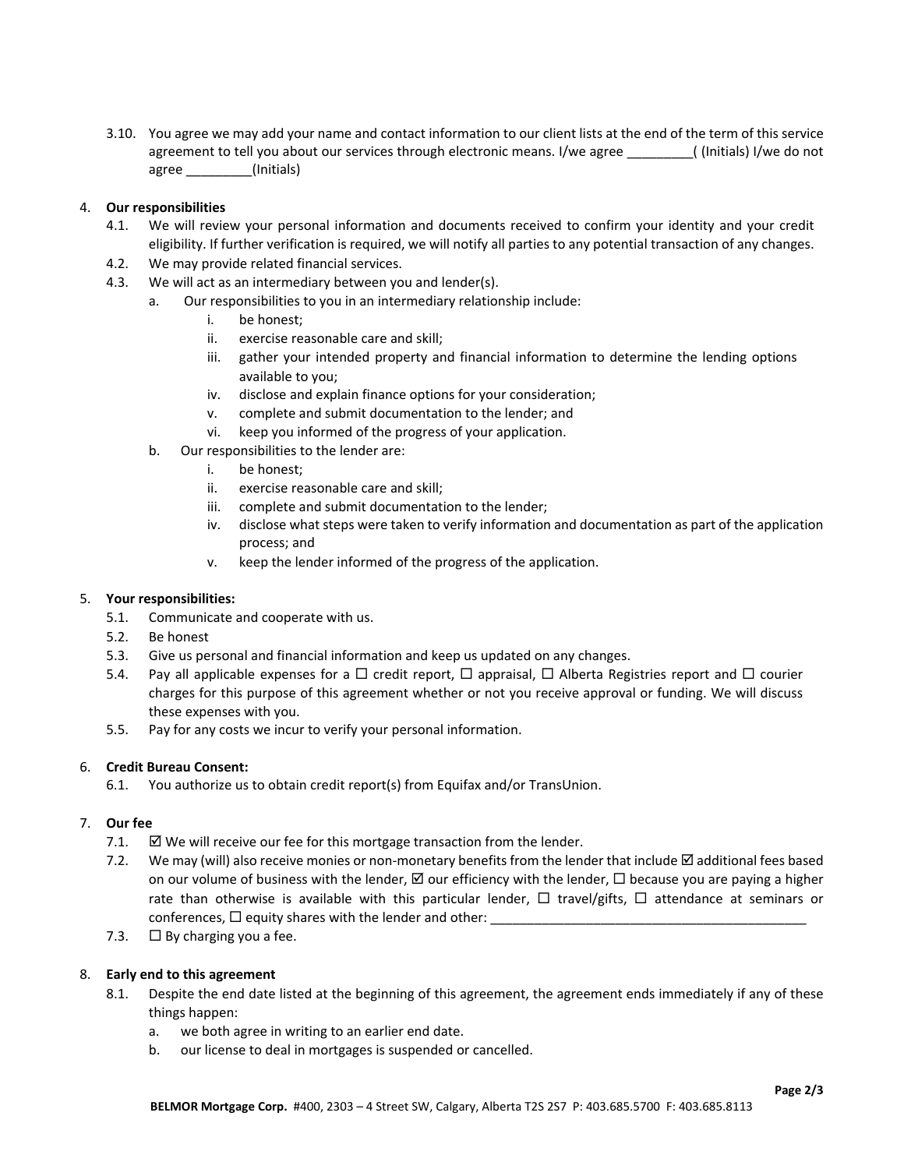3.10. You agree we may add your name and contact information to our client lists at the end of the term of this service agreement to tell you about our services through electronic means. I/we agree (Initials) I/we do not agree \_\_\_\_\_\_\_\_\_(Initials)

## 4. **Our responsibilities**

- 4.1. We will review your personal information and documents received to confirm your identity and your credit eligibility. If further verification is required, we will notify all parties to any potential transaction of any changes.
- 4.2. We may provide related financial services.
- 4.3. We will act as an intermediary between you and lender(s).
	- a. Our responsibilities to you in an intermediary relationship include:
		- i. be honest;
		- ii. exercise reasonable care and skill;
		- iii. gather your intended property and financial information to determine the lending options available to you;
		- iv. disclose and explain finance options for your consideration;
		- v. complete and submit documentation to the lender; and
		- vi. keep you informed of the progress of your application.
	- b. Our responsibilities to the lender are:
		- i. be honest;
		- ii. exercise reasonable care and skill;
		- iii. complete and submit documentation to the lender;
		- iv. disclose what steps were taken to verify information and documentation as part of the application process; and
		- v. keep the lender informed of the progress of the application.

## 5. **Your responsibilities:**

- 5.1. Communicate and cooperate with us.
- 5.2. Be honest
- 5.3. Give us personal and financial information and keep us updated on any changes.
- 5.4. Pay all applicable expenses for a  $\Box$  credit report,  $\Box$  appraisal,  $\Box$  Alberta Registries report and  $\Box$  courier charges for this purpose of this agreement whether or not you receive approval or funding. We will discuss these expenses with you.
- 5.5. Pay for any costs we incur to verify your personal information.

## 6. **Credit Bureau Consent:**

6.1. You authorize us to obtain credit report(s) from Equifax and/or TransUnion.

# 7. **Our fee**

- 7.1.  $\boxtimes$  We will receive our fee for this mortgage transaction from the lender.
- 7.2. We may (will) also receive monies or non-monetary benefits from the lender that include  $\boxtimes$  additional fees based on our volume of business with the lender,  $\boxtimes$  our efficiency with the lender,  $\Box$  because you are paying a higher rate than otherwise is available with this particular lender,  $\Box$  travel/gifts,  $\Box$  attendance at seminars or conferences,  $\Box$  equity shares with the lender and other:
- 7.3.  $\Box$  By charging you a fee.

## 8. **Early end to this agreement**

- 8.1. Despite the end date listed at the beginning of this agreement, the agreement ends immediately if any of these things happen:
	- a. we both agree in writing to an earlier end date.
	- b. our license to deal in mortgages is suspended or cancelled.